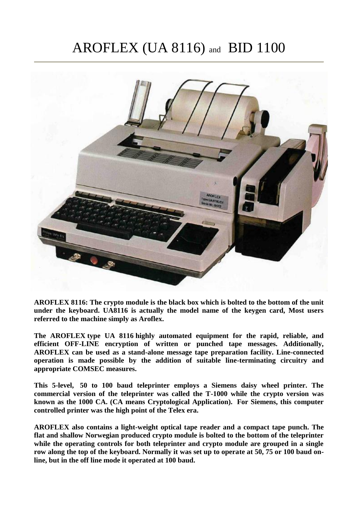# AROFLEX (UA 8116) and BID 1100



**AROFLEX 8116: The crypto module is the black box which is bolted to the bottom of the unit under the keyboard. UA8116 is actually the model name of the keygen card, Most users referred to the machine simply as Aroflex.**

**The AROFLEX type UA 8116 highly automated equipment for the rapid, reliable, and efficient OFF-LINE encryption of written or punched tape messages. Additionally, AROFLEX can be used as a stand-alone message tape preparation facility. Line-connected operation is made possible by the addition of suitable line-terminating circuitry and appropriate COMSEC measures.**

**This 5-level, 50 to 100 baud teleprinter employs a Siemens daisy wheel printer. The commercial version of the teleprinter was called the T-1000 while the crypto version was known as the 1000 CA. (CA means Cryptological Application). For Siemens, this computer controlled printer was the high point of the Telex era.**

**AROFLEX also contains a light-weight optical tape reader and a compact tape punch. The flat and shallow Norwegian produced crypto module is bolted to the bottom of the teleprinter while the operating controls for both teleprinter and crypto module are grouped in a single row along the top of the keyboard. Normally it was set up to operate at 50, 75 or 100 baud online, but in the off line mode it operated at 100 baud.**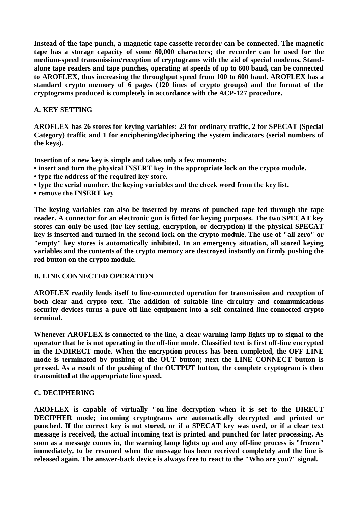**Instead of the tape punch, a magnetic tape cassette recorder can be connected. The magnetic tape has a storage capacity of some 60,000 characters; the recorder can be used for the medium-speed transmission/reception of cryptograms with the aid of special modems. Standalone tape readers and tape punches, operating at speeds of up to 600 baud, can be connected to AROFLEX, thus increasing the throughput speed from 100 to 600 baud. AROFLEX has a standard crypto memory of 6 pages (120 lines of crypto groups) and the format of the cryptograms produced is completely in accordance with the ACP-127 procedure.**

#### **A. KEY SETTING**

**AROFLEX has 26 stores for keying variables: 23 for ordinary traffic, 2 for SPECAT (Special Category) traffic and 1 for enciphering/deciphering the system indicators (serial numbers of the keys).**

**Insertion of a new key is simple and takes only a few moments:**

- **insert and turn the physical INSERT key in the appropriate lock on the crypto module.**
- **type the address of the required key store.**
- **type the serial number, the keying variables and the check word from the key list.**
- **remove the INSERT key**

**The keying variables can also be inserted by means of punched tape fed through the tape reader. A connector for an electronic gun is fitted for keying purposes. The two SPECAT key stores can only be used (for key-setting, encryption, or decryption) if the physical SPECAT key is inserted and turned in the second lock on the crypto module. The use of "all zero" or "empty" key stores is automatically inhibited. In an emergency situation, all stored keying variables and the contents of the crypto memory are destroyed instantly on firmly pushing the red button on the crypto module.**

#### **B. LINE CONNECTED OPERATION**

**AROFLEX readily lends itself to line-connected operation for transmission and reception of both clear and crypto text. The addition of suitable line circuitry and communications security devices turns a pure off-line equipment into a self-contained line-connected crypto terminal.**

**Whenever AROFLEX is connected to the line, a clear warning lamp lights up to signal to the operator that he is not operating in the off-line mode. Classified text is first off-line encrypted in the INDIRECT mode. When the encryption process has been completed, the OFF LINE mode is terminated by pushing of the OUT button; next the LINE CONNECT button is pressed. As a result of the pushing of the OUTPUT button, the complete cryptogram is then transmitted at the appropriate line speed.**

#### **C. DECIPHERING**

**AROFLEX is capable of virtually "on-line decryption when it is set to the DIRECT DECIPHER mode; incoming cryptograms are automatically decrypted and printed or punched. If the correct key is not stored, or if a SPECAT key was used, or if a clear text message is received, the actual incoming text is printed and punched for later processing. As soon as a message comes in, the warning lamp lights up and any off-line process is "frozen" immediately, to be resumed when the message has been received completely and the line is released again. The answer-back device is always free to react to the "Who are you?" signal.**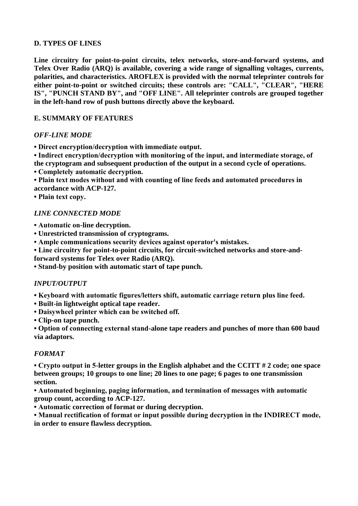## **D. TYPES OF LINES**

**Line circuitry for point-to-point circuits, telex networks, store-and-forward systems, and Telex Over Radio (ARQ) is available, covering a wide range of signalling voltages, currents, polarities, and characteristics. AROFLEX is provided with the normal teleprinter controls for either point-to-point or switched circuits; these controls are: "CALL", "CLEAR", "HERE IS", "PUNCH STAND BY", and "OFF LINE". All teleprinter controls are grouped together in the left-hand row of push buttons directly above the keyboard.**

#### **E. SUMMARY OF FEATURES**

## *OFF-LINE MODE*

**• Direct encryption/decryption with immediate output.**

**• Indirect encryption/decryption with monitoring of the input, and intermediate storage, of the cryptogram and subsequent production of the output in a second cycle of operations.**

**• Completely automatic decryption.**

**• Plain text modes without and with counting of line feeds and automated procedures in accordance with ACP-127.**

**• Plain text copy.**

## *LINE CONNECTED MODE*

**• Automatic on-line decryption.**

**• Unrestricted transmission of cryptograms.**

**• Ample communications security devices against operator's mistakes.**

**• Line circuitry for point-to-point circuits, for circuit-switched networks and store-and-**

**forward systems for Telex over Radio (ARQ).**

**• Stand-by position with automatic start of tape punch.**

## *INPUT/OUTPUT*

**• Keyboard with automatic figures/letters shift, automatic carriage return plus line feed.**

**• Built-in lightweight optical tape reader.**

**• Daisywheel printer which can be switched off.**

**• Clip-on tape punch.**

**• Option of connecting external stand-alone tape readers and punches of more than 600 baud via adaptors.**

## *FORMAT*

**• Crypto output in 5-letter groups in the English alphabet and the CCITT # 2 code; one space between groups; 10 groups to one line; 20 lines to one page; 6 pages to one transmission section.**

**• Automated beginning, paging information, and termination of messages with automatic group count, according to ACP-127.**

**• Automatic correction of format or during decryption.**

**• Manual rectification of format or input possible during decryption in the INDIRECT mode, in order to ensure flawless decryption.**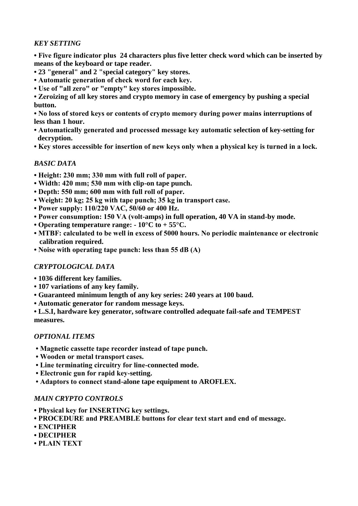# *KEY SETTING*

**• Five figure indicator plus 24 characters plus five letter check word which can be inserted by means of the keyboard or tape reader.**

- **• 23 "general" and 2 "special category" key stores.**
- **Automatic generation of check word for each key.**
- **Use of "all zero" or "empty" key stores impossible.**

**• Zeroizing of all key stores and crypto memory in case of emergency by pushing a special button.**

**• No loss of stored keys or contents of crypto memory during power mains interruptions of less than 1 hour.**

- **Automatically generated and processed message key automatic selection of key-setting for decryption.**
- **Key stores accessible for insertion of new keys only when a physical key is turned in a lock.**

# *BASIC DATA*

- **Height: 230 mm; 330 mm with full roll of paper.**
- **Width: 420 mm; 530 mm with clip-on tape punch.**
- **Depth: 550 mm; 600 mm with full roll of paper.**
- **Weight: 20 kg; 25 kg with tape punch; 35 kg in transport case.**
- **Power supply: 110/220 VAC, 50/60 or 400 Hz.**
- **Power consumption: 150 VA (volt-amps) in full operation, 40 VA in stand-by mode.**
- **Operating temperature range: - 10°C to + 55°C.**
- **MTBF: calculated to be well in excess of 5000 hours. No periodic maintenance or electronic calibration required.**
- **Noise with operating tape punch: less than 55 dB (A)**

# *CRYPTOLOGICAL DATA*

- **• 1036 different key families.**
- **• 107 variations of any key family.**
- **• Guaranteed minimum length of any key series: 240 years at 100 baud.**
- **• Automatic generator for random message keys.**

**• L.S.I, hardware key generator, software controlled adequate fail-safe and TEMPEST measures.**

## *OPTIONAL ITEMS*

- **Magnetic cassette tape recorder instead of tape punch.**
- **Wooden or metal transport cases.**
- **Line terminating circuitry for line-connected mode.**
- **Electronic gun for rapid key-setting.**
- **Adaptors to connect stand-alone tape equipment to AROFLEX.**

## *MAIN CRYPTO CONTROLS*

- **Physical key for INSERTING key settings.**
- **PROCEDURE and PREAMBLE buttons for clear text start and end of message.**
- **ENCIPHER**
- **DECIPHER**
- **PLAIN TEXT**